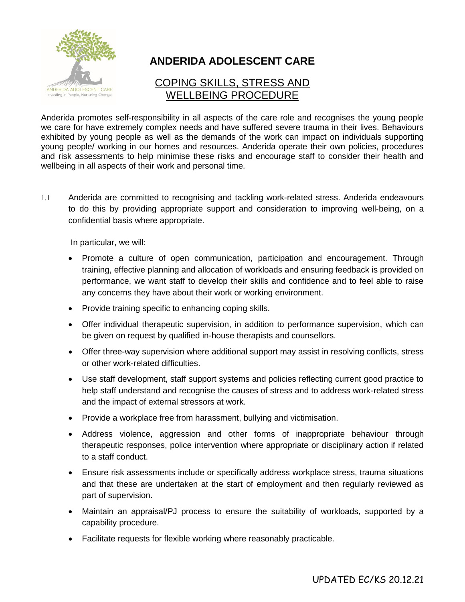

# **ANDERIDA ADOLESCENT CARE**

# COPING SKILLS, STRESS AND WELLBEING PROCEDURE

Anderida promotes self-responsibility in all aspects of the care role and recognises the young people we care for have extremely complex needs and have suffered severe trauma in their lives. Behaviours exhibited by young people as well as the demands of the work can impact on individuals supporting young people/ working in our homes and resources. Anderida operate their own policies, procedures and risk assessments to help minimise these risks and encourage staff to consider their health and wellbeing in all aspects of their work and personal time.

1.1 Anderida are committed to recognising and tackling work-related stress. Anderida endeavours to do this by providing appropriate support and consideration to improving well-being, on a confidential basis where appropriate.

In particular, we will:

- Promote a culture of open communication, participation and encouragement. Through training, effective planning and allocation of workloads and ensuring feedback is provided on performance, we want staff to develop their skills and confidence and to feel able to raise any concerns they have about their work or working environment.
- Provide training specific to enhancing coping skills.
- Offer individual therapeutic supervision, in addition to performance supervision, which can be given on request by qualified in-house therapists and counsellors.
- Offer three-way supervision where additional support may assist in resolving conflicts, stress or other work-related difficulties.
- Use staff development, staff support systems and policies reflecting current good practice to help staff understand and recognise the causes of stress and to address work-related stress and the impact of external stressors at work.
- Provide a workplace free from harassment, bullying and victimisation.
- Address violence, aggression and other forms of inappropriate behaviour through therapeutic responses, police intervention where appropriate or disciplinary action if related to a staff conduct.
- Ensure risk assessments include or specifically address workplace stress, trauma situations and that these are undertaken at the start of employment and then regularly reviewed as part of supervision.
- Maintain an appraisal/PJ process to ensure the suitability of workloads, supported by a capability procedure.
- Facilitate requests for flexible working where reasonably practicable.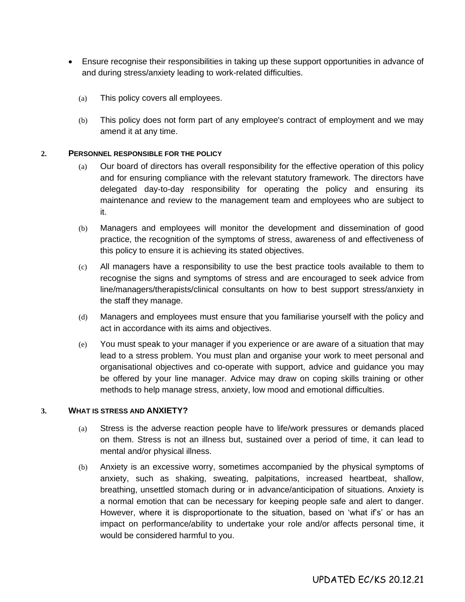- Ensure recognise their responsibilities in taking up these support opportunities in advance of and during stress/anxiety leading to work-related difficulties.
	- (a) This policy covers all employees.
	- (b) This policy does not form part of any employee's contract of employment and we may amend it at any time.

### **2. PERSONNEL RESPONSIBLE FOR THE POLICY**

- (a) Our board of directors has overall responsibility for the effective operation of this policy and for ensuring compliance with the relevant statutory framework. The directors have delegated day-to-day responsibility for operating the policy and ensuring its maintenance and review to the management team and employees who are subject to it.
- (b) Managers and employees will monitor the development and dissemination of good practice, the recognition of the symptoms of stress, awareness of and effectiveness of this policy to ensure it is achieving its stated objectives.
- (c) All managers have a responsibility to use the best practice tools available to them to recognise the signs and symptoms of stress and are encouraged to seek advice from line/managers/therapists/clinical consultants on how to best support stress/anxiety in the staff they manage.
- (d) Managers and employees must ensure that you familiarise yourself with the policy and act in accordance with its aims and objectives.
- (e) You must speak to your manager if you experience or are aware of a situation that may lead to a stress problem. You must plan and organise your work to meet personal and organisational objectives and co-operate with support, advice and guidance you may be offered by your line manager. Advice may draw on coping skills training or other methods to help manage stress, anxiety, low mood and emotional difficulties.

### **3. WHAT IS STRESS AND ANXIETY?**

- (a) Stress is the adverse reaction people have to life/work pressures or demands placed on them. Stress is not an illness but, sustained over a period of time, it can lead to mental and/or physical illness.
- (b) Anxiety is an excessive worry, sometimes accompanied by the physical symptoms of anxiety, such as shaking, sweating, palpitations, increased heartbeat, shallow, breathing, unsettled stomach during or in advance/anticipation of situations. Anxiety is a normal emotion that can be necessary for keeping people safe and alert to danger. However, where it is disproportionate to the situation, based on 'what if's' or has an impact on performance/ability to undertake your role and/or affects personal time, it would be considered harmful to you.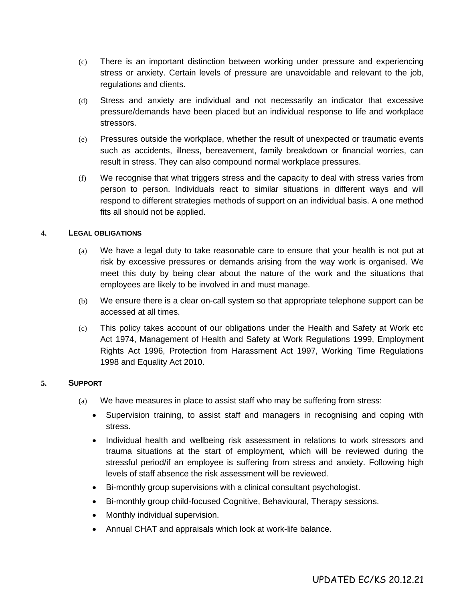- (c) There is an important distinction between working under pressure and experiencing stress or anxiety. Certain levels of pressure are unavoidable and relevant to the job, regulations and clients.
- (d) Stress and anxiety are individual and not necessarily an indicator that excessive pressure/demands have been placed but an individual response to life and workplace stressors.
- (e) Pressures outside the workplace, whether the result of unexpected or traumatic events such as accidents, illness, bereavement, family breakdown or financial worries, can result in stress. They can also compound normal workplace pressures.
- (f) We recognise that what triggers stress and the capacity to deal with stress varies from person to person. Individuals react to similar situations in different ways and will respond to different strategies methods of support on an individual basis. A one method fits all should not be applied.

# **4. LEGAL OBLIGATIONS**

- (a) We have a legal duty to take reasonable care to ensure that your health is not put at risk by excessive pressures or demands arising from the way work is organised. We meet this duty by being clear about the nature of the work and the situations that employees are likely to be involved in and must manage.
- (b) We ensure there is a clear on-call system so that appropriate telephone support can be accessed at all times.
- (c) This policy takes account of our obligations under the Health and Safety at Work etc Act 1974, Management of Health and Safety at Work Regulations 1999, Employment Rights Act 1996, Protection from Harassment Act 1997, Working Time Regulations 1998 and Equality Act 2010.

# **5. SUPPORT**

- (a) We have measures in place to assist staff who may be suffering from stress:
	- Supervision training, to assist staff and managers in recognising and coping with stress.
	- Individual health and wellbeing risk assessment in relations to work stressors and trauma situations at the start of employment, which will be reviewed during the stressful period/if an employee is suffering from stress and anxiety. Following high levels of staff absence the risk assessment will be reviewed.
	- Bi-monthly group supervisions with a clinical consultant psychologist.
	- Bi-monthly group child-focused Cognitive, Behavioural, Therapy sessions.
	- Monthly individual supervision.
	- Annual CHAT and appraisals which look at work-life balance.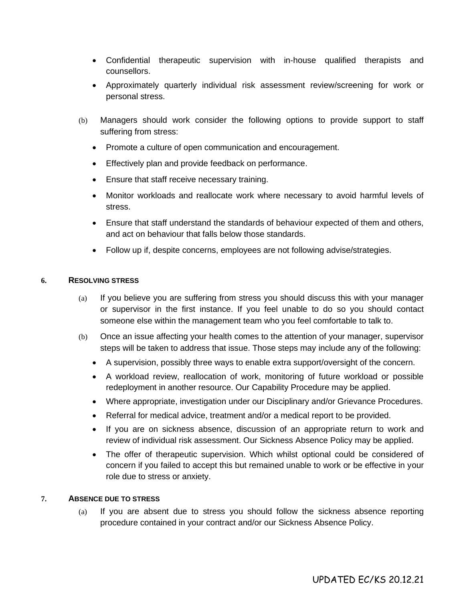- Confidential therapeutic supervision with in-house qualified therapists and counsellors.
- Approximately quarterly individual risk assessment review/screening for work or personal stress.
- (b) Managers should work consider the following options to provide support to staff suffering from stress:
	- Promote a culture of open communication and encouragement.
	- Effectively plan and provide feedback on performance.
	- Ensure that staff receive necessary training.
	- Monitor workloads and reallocate work where necessary to avoid harmful levels of stress.
	- Ensure that staff understand the standards of behaviour expected of them and others, and act on behaviour that falls below those standards.
	- Follow up if, despite concerns, employees are not following advise/strategies.

# **6. RESOLVING STRESS**

- (a) If you believe you are suffering from stress you should discuss this with your manager or supervisor in the first instance. If you feel unable to do so you should contact someone else within the management team who you feel comfortable to talk to.
- (b) Once an issue affecting your health comes to the attention of your manager, supervisor steps will be taken to address that issue. Those steps may include any of the following:
	- A supervision, possibly three ways to enable extra support/oversight of the concern.
	- A workload review, reallocation of work, monitoring of future workload or possible redeployment in another resource. Our Capability Procedure may be applied.
	- Where appropriate, investigation under our Disciplinary and/or Grievance Procedures.
	- Referral for medical advice, treatment and/or a medical report to be provided.
	- If you are on sickness absence, discussion of an appropriate return to work and review of individual risk assessment. Our Sickness Absence Policy may be applied.
	- The offer of therapeutic supervision. Which whilst optional could be considered of concern if you failed to accept this but remained unable to work or be effective in your role due to stress or anxiety.

# **7. ABSENCE DUE TO STRESS**

(a) If you are absent due to stress you should follow the sickness absence reporting procedure contained in your contract and/or our Sickness Absence Policy.